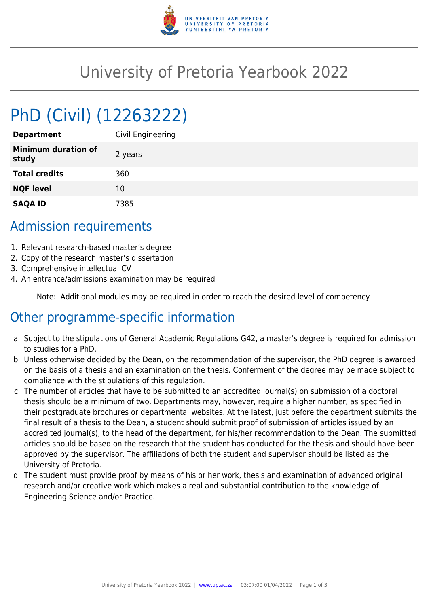

## University of Pretoria Yearbook 2022

# PhD (Civil) (12263222)

| <b>Department</b>                   | Civil Engineering |
|-------------------------------------|-------------------|
| <b>Minimum duration of</b><br>study | 2 years           |
| <b>Total credits</b>                | 360               |
| <b>NQF level</b>                    | 10                |
| <b>SAQA ID</b>                      | 7385              |

## Admission requirements

- 1. Relevant research-based master's degree
- 2. Copy of the research master's dissertation
- 3. Comprehensive intellectual CV
- 4. An entrance/admissions examination may be required

Note: Additional modules may be required in order to reach the desired level of competency

## Other programme-specific information

- a. Subject to the stipulations of General Academic Regulations G42, a master's degree is required for admission to studies for a PhD.
- b. Unless otherwise decided by the Dean, on the recommendation of the supervisor, the PhD degree is awarded on the basis of a thesis and an examination on the thesis. Conferment of the degree may be made subject to compliance with the stipulations of this regulation.
- c. The number of articles that have to be submitted to an accredited journal(s) on submission of a doctoral thesis should be a minimum of two. Departments may, however, require a higher number, as specified in their postgraduate brochures or departmental websites. At the latest, just before the department submits the final result of a thesis to the Dean, a student should submit proof of submission of articles issued by an accredited journal(s), to the head of the department, for his/her recommendation to the Dean. The submitted articles should be based on the research that the student has conducted for the thesis and should have been approved by the supervisor. The affiliations of both the student and supervisor should be listed as the University of Pretoria.
- d. The student must provide proof by means of his or her work, thesis and examination of advanced original research and/or creative work which makes a real and substantial contribution to the knowledge of Engineering Science and/or Practice.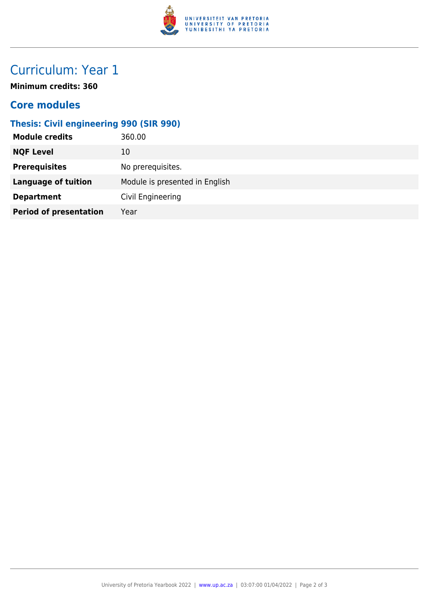

## Curriculum: Year 1

**Minimum credits: 360**

#### **Core modules**

#### **Thesis: Civil engineering 990 (SIR 990)**

| <b>Module credits</b>         | 360.00                         |
|-------------------------------|--------------------------------|
| <b>NQF Level</b>              | 10                             |
| <b>Prerequisites</b>          | No prerequisites.              |
| <b>Language of tuition</b>    | Module is presented in English |
| <b>Department</b>             | Civil Engineering              |
| <b>Period of presentation</b> | Year                           |